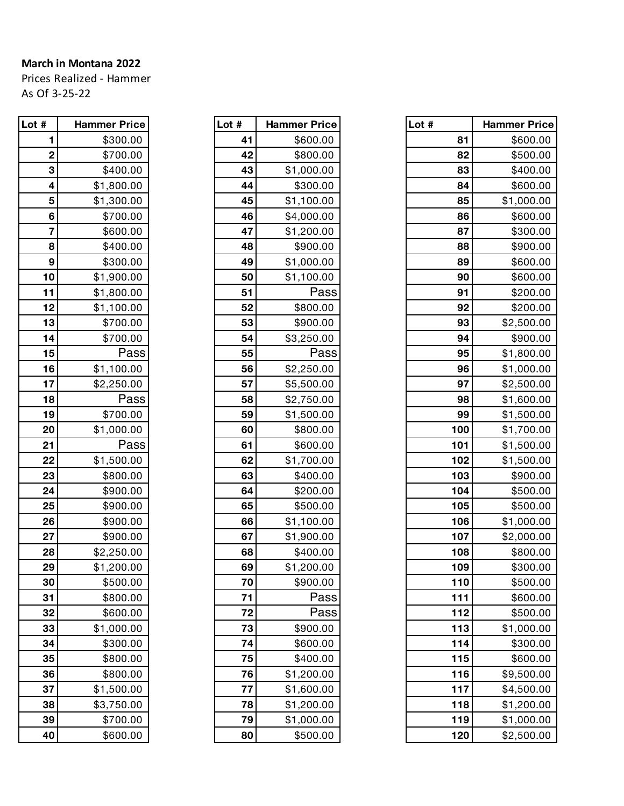## **March in Montana 2022**

Prices Realized - Hammer As Of 3-25-22

| Lot # | <b>Hammer Price</b> |
|-------|---------------------|
| 1     | \$300.00            |
| 2     | \$700.00            |
| 3     | \$400.00            |
| 4     | \$1,800.00          |
| 5     | \$1,300.00          |
| 6     | \$700.00            |
| 7     | \$600.00            |
| 8     | \$400.00            |
| 9     | \$300.00            |
| 10    | \$1,900.00          |
| 11    | \$1,800.00          |
| 12    | \$1,100.00          |
| 13    | \$700.00            |
| 14    | \$700.00            |
| 15    | Pass                |
| 16    | \$1,100.00          |
| 17    | \$2,250.00          |
| 18    | Pass                |
| 19    | \$700.00            |
| 20    | \$1,000.00          |
| 21    | Pass                |
| 22    | \$1,500.00          |
| 23    | \$800.00            |
| 24    | \$900.00            |
| 25    | \$900.00            |
| 26    | \$900.00            |
| 27    | \$900.00            |
| 28    | \$2,250.00          |
| 29    | \$1,200.00          |
| 30    | \$500.00            |
| 31    | \$800.00            |
| 32    | \$600.00            |
| 33    | \$1,000.00          |
| 34    | \$300.00            |
| 35    | \$800.00            |
| 36    | \$800.00            |
| 37    | \$1,500.00          |
| 38    | \$3,750.00          |
| 39    | \$700.00            |
| 40    | \$600.00            |

| Lot # | <b>Hammer Price</b> |
|-------|---------------------|
| 41    | \$600.00            |
| 42    | \$800.00            |
| 43    | \$1,000.00          |
| 44    | \$300.00            |
| 45    | \$1,100.00          |
| 46    | \$4,000.00          |
| 47    | \$1,200.00          |
| 48    | \$900.00            |
| 49    | \$1,000.00          |
| 50    | \$1,100.00          |
| 51    | Pass                |
| 52    | \$800.00            |
| 53    | \$900.00            |
| 54    | \$3,250.00          |
| 55    | Pass                |
| 56    | \$2,250.00          |
| 57    | \$5,500.00          |
| 58    | \$2,750.00          |
| 59    | \$1,500.00          |
| 60    | \$800.00            |
| 61    | \$600.00            |
| 62    | \$1,700.00          |
| 63    | \$400.00            |
| 64    | \$200.00            |
| 65    | \$500.00            |
| 66    | \$1,100.00          |
| 67    | \$1,900.00          |
| 68    | \$400.00            |
| 69    | \$1,200.00          |
| 70    | \$900.00            |
| 71    | Pass                |
| 72    | Pass                |
| 73    | \$900.00            |
| 74    | \$600.00            |
| 75    | \$400.00            |
| 76    | \$1,200.00          |
| 77    | \$1,600.00          |
| 78    | \$1,200.00          |
| 79    | \$1,000.00          |
| 80    | \$500.00            |

| Lot #                   | <b>Hammer Price</b> | Lot # | <b>Hammer Price</b> | Lot $#$ | <b>Hammer Price</b> |
|-------------------------|---------------------|-------|---------------------|---------|---------------------|
| 1                       | \$300.00            | 41    | \$600.00            | 81      | \$600.00            |
| $\mathbf 2$             | \$700.00            | 42    | \$800.00            | 82      | \$500.00            |
| 3                       | \$400.00            | 43    | \$1,000.00          | 83      | \$400.00            |
| 4                       | \$1,800.00          | 44    | \$300.00            | 84      | \$600.00            |
| 5                       | \$1,300.00          | 45    | \$1,100.00          | 85      | \$1,000.00          |
| 6                       | \$700.00            | 46    | \$4,000.00          | 86      | \$600.00            |
| $\overline{\mathbf{7}}$ | \$600.00            | 47    | \$1,200.00          | 87      | \$300.00            |
| 8                       | \$400.00            | 48    | \$900.00            | 88      | \$900.00            |
| 9                       | \$300.00            | 49    | \$1,000.00          | 89      | \$600.00            |
| 10                      | \$1,900.00          | 50    | \$1,100.00          | 90      | \$600.00            |
| 11                      | \$1,800.00          | 51    | Pass                | 91      | \$200.00            |
| 12                      | \$1,100.00          | 52    | \$800.00            | 92      | \$200.00            |
| 13                      | \$700.00            | 53    | \$900.00            | 93      | \$2,500.00          |
| 14                      | \$700.00            | 54    | \$3,250.00          | 94      | \$900.00            |
| 15                      | Pass                | 55    | Pass                | 95      | \$1,800.00          |
| 16                      | \$1,100.00          | 56    | \$2,250.00          | 96      | \$1,000.00          |
| 17                      | \$2,250.00          | 57    | \$5,500.00          | 97      | \$2,500.00          |
| 18                      | Pass                | 58    | \$2,750.00          | 98      | \$1,600.00          |
| 19                      | \$700.00            | 59    | \$1,500.00          | 99      | \$1,500.00          |
| 20                      | \$1,000.00          | 60    | \$800.00            | 100     | \$1,700.00          |
| 21                      | Pass                | 61    | \$600.00            | 101     | \$1,500.00          |
| 22                      | \$1,500.00          | 62    | \$1,700.00          | 102     | \$1,500.00          |
| 23                      | \$800.00            | 63    | \$400.00            | 103     | \$900.00            |
| 24                      | \$900.00            | 64    | \$200.00            | 104     | \$500.00            |
| 25                      | \$900.00            | 65    | \$500.00            | 105     | \$500.00            |
| 26                      | \$900.00            | 66    | \$1,100.00          | 106     | \$1,000.00          |
| 27                      | \$900.00            | 67    | \$1,900.00          | 107     | \$2,000.00          |
| 28                      | \$2,250.00          | 68    | \$400.00            | 108     | \$800.00            |
| 29                      | \$1,200.00          | 69    | \$1,200.00          | 109     | \$300.00            |
| 30                      | \$500.00            | 70    | \$900.00            | 110     | \$500.00            |
| 31                      | \$800.00            | 71    | Pass                | 111     | \$600.00            |
| 32                      | \$600.00            | 72    | Pass                | 112     | \$500.00            |
| 33                      | \$1,000.00          | 73    | \$900.00            | 113     | \$1,000.00          |
| 34                      | \$300.00            | 74    | \$600.00            | 114     | \$300.00            |
| 35                      | \$800.00            | 75    | \$400.00            | 115     | \$600.00            |
| 36                      | \$800.00            | 76    | \$1,200.00          | 116     | \$9,500.00          |
| 37                      | \$1,500.00          | 77    | \$1,600.00          | 117     | \$4,500.00          |
| 38                      | \$3,750.00          | 78    | \$1,200.00          | 118     | \$1,200.00          |
| 39                      | \$700.00            | 79    | \$1,000.00          | 119     | \$1,000.00          |
| 40                      | \$600.00            | 80    | \$500.00            | 120     | \$2,500.00          |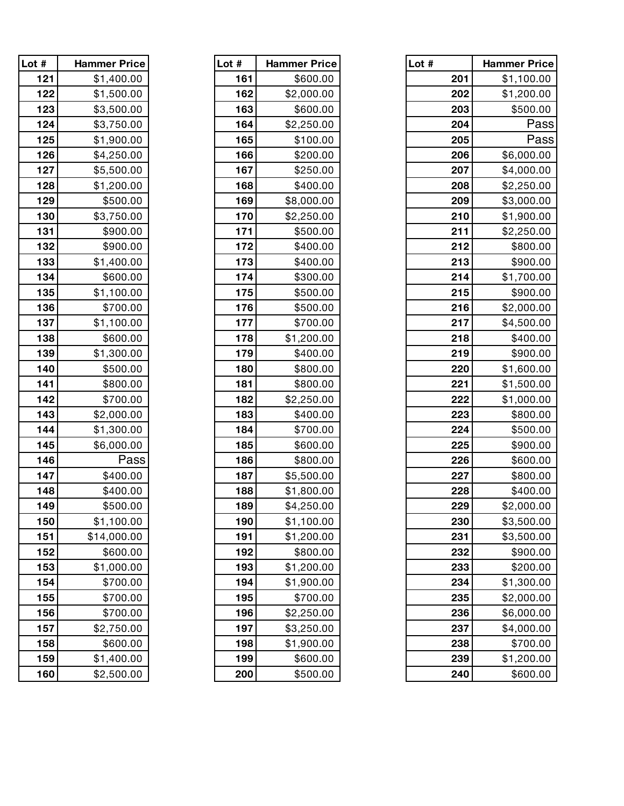| Lot # | <b>Hammer Price</b> | Lot # | <b>Hammer Price</b> | Lot # | <b>Hammer Price</b> |
|-------|---------------------|-------|---------------------|-------|---------------------|
| 121   | \$1,400.00          | 161   | \$600.00            | 201   | \$1,100.00          |
| 122   | \$1,500.00          | 162   | \$2,000.00          | 202   | \$1,200.00          |
| 123   | \$3,500.00          | 163   | \$600.00            | 203   | \$500.00            |
| 124   | \$3,750.00          | 164   | \$2,250.00          | 204   | Pass                |
| 125   | \$1,900.00          | 165   | \$100.00            | 205   | Pass                |
| 126   | \$4,250.00          | 166   | \$200.00            | 206   | \$6,000.00          |
| 127   | \$5,500.00          | 167   | \$250.00            | 207   | \$4,000.00          |
| 128   | \$1,200.00          | 168   | \$400.00            | 208   | \$2,250.00          |
| 129   | \$500.00            | 169   | \$8,000.00          | 209   | \$3,000.00          |
| 130   | \$3,750.00          | 170   | \$2,250.00          | 210   | \$1,900.00          |
| 131   | \$900.00            | 171   | \$500.00            | 211   | \$2,250.00          |
| 132   | \$900.00            | 172   | \$400.00            | 212   | \$800.00            |
| 133   | \$1,400.00          | 173   | \$400.00            | 213   | \$900.00            |
| 134   | \$600.00            | 174   | \$300.00            | 214   | \$1,700.00          |
| 135   | \$1,100.00          | 175   | \$500.00            | 215   | \$900.00            |
| 136   | \$700.00            | 176   | \$500.00            | 216   | \$2,000.00          |
| 137   | \$1,100.00          | 177   | \$700.00            | 217   | \$4,500.00          |
| 138   | \$600.00            | 178   | \$1,200.00          | 218   | \$400.00            |
| 139   | \$1,300.00          | 179   | \$400.00            | 219   | \$900.00            |
| 140   | \$500.00            | 180   | \$800.00            | 220   | \$1,600.00          |
| 141   | \$800.00            | 181   | \$800.00            | 221   | \$1,500.00          |
| 142   | \$700.00            | 182   | \$2,250.00          | 222   | \$1,000.00          |
| 143   | \$2,000.00          | 183   | \$400.00            | 223   | \$800.00            |
| 144   | \$1,300.00          | 184   | \$700.00            | 224   | \$500.00            |
| 145   | \$6,000.00          | 185   | \$600.00            | 225   | \$900.00            |
| 146   | Pass                | 186   | \$800.00            | 226   | \$600.00            |
| 147   | \$400.00            | 187   | \$5,500.00          | 227   | \$800.00            |
| 148   | \$400.00            | 188   | \$1,800.00          | 228   | \$400.00            |
| 149   | \$500.00            | 189   | \$4,250.00          | 229   | \$2,000.00          |
| 150   | \$1,100.00          | 190   | \$1,100.00          | 230   | \$3,500.00          |
| 151   | \$14,000.00         | 191   | \$1,200.00          | 231   | \$3,500.00          |
| 152   | \$600.00            | 192   | \$800.00            | 232   | \$900.00            |
| 153   | \$1,000.00          | 193   | \$1,200.00          | 233   | \$200.00            |
| 154   | \$700.00            | 194   | \$1,900.00          | 234   | \$1,300.00          |
| 155   | \$700.00            | 195   | \$700.00            | 235   | \$2,000.00          |
| 156   | \$700.00            | 196   | \$2,250.00          | 236   | \$6,000.00          |
| 157   | \$2,750.00          | 197   | \$3,250.00          | 237   | \$4,000.00          |
| 158   | \$600.00            | 198   | \$1,900.00          | 238   | \$700.00            |
| 159   | \$1,400.00          | 199   | \$600.00            | 239   | \$1,200.00          |
| 160   | \$2,500.00          | 200   | \$500.00            | 240   | \$600.00            |

| Lot<br># | Hammer Price |
|----------|--------------|
| 161      | \$600.00     |
| 162      | \$2,000.00   |
| 163      | \$600.00     |
| 164      | \$2,250.00   |
| 165      | \$100.00     |
| 166      | \$200.00     |
| 167      | \$250.00     |
| 168      | \$400.00     |
| 169      | \$8,000.00   |
| 170      | \$2,250.00   |
| 171      | \$500.00     |
| 172      | \$400.00     |
| 173      | \$400.00     |
| 174      | \$300.00     |
| 175      | \$500.00     |
| 176      | \$500.00     |
| 177      | \$700.00     |
| 178      | \$1,200.00   |
| 179      | \$400.00     |
| 180      | \$800.00     |
| 181      | \$800.00     |
| 182      | \$2,250.00   |
| 183      | \$400.00     |
| 184      | \$700.00     |
| 185      | \$600.00     |
| 186      | \$800.00     |
| 187      | \$5,500.00   |
| 188      | \$1,800.00   |
| 189      | \$4,250.00   |
| 190      | \$1,100.00   |
| 191      | \$1,200.00   |
| 192      | \$800.00     |
| 193      | \$1,200.00   |
| 194      | \$1,900.00   |
| 195      | \$700.00     |
| 196      | \$2,250.00   |
| 197      | \$3,250.00   |
| 198      | \$1,900.00   |
| 199      | \$600.00     |
| 200      | \$500.00     |

| Lot # | Hammer Pric <b>e</b> |
|-------|----------------------|
| 121   | \$1,400.00           |
| 122   | \$1,500.00           |
| 123   | \$3,500.00           |
| 124   | \$3,750.00           |
| 125   | \$1,900.00           |
| 126   | \$4,250.00           |
| 127   | \$5,500.00           |
| 128   | \$1,200.00           |
| 129   | \$500.00             |
| 130   | \$3,750.00           |
| 131   | \$900.00             |
| 132   | \$900.00             |
| 133   | \$1,400.00           |
| 134   | \$600.00             |
| 135   | \$1,100.00           |
| 136   | \$700.00             |
| 137   | \$1,100.00           |
| 138   | \$600.00             |
| 139   | \$1,300.00           |
| 140   | \$500.00             |
| 141   | \$800.00             |
| 142   | \$700.00             |
| 143   | \$2,000.00           |
| 144   | \$1,300.00           |
| 145   | \$6,000.00           |
| 146   | Pass                 |
| 147   | \$400.00             |
| 148   | \$400.00             |
| 149   | \$500.00             |
| 150   | \$1,100.00           |
| 151   | \$14,000.00          |
| 152   | \$600.00             |
| 153   | \$1,000.00           |
| 154   | \$700.00             |
| 155   | \$700.00             |
| 156   | \$700.00             |
| 157   | \$2,750.00           |
| 158   | \$600.00             |
| 159   | \$1,400.00           |
| 160   | \$2,500.00           |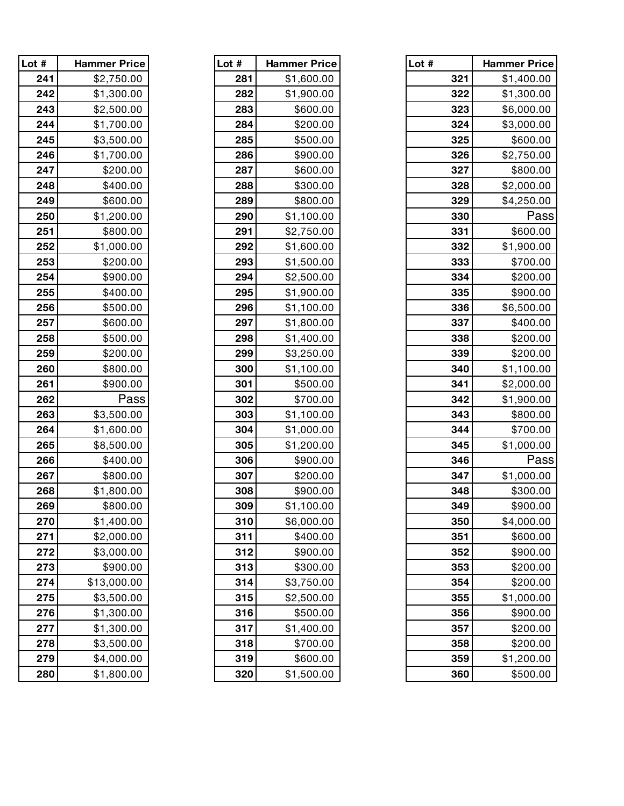| Lot # | Hammer Price |
|-------|--------------|
| 241   | \$2,750.00   |
| 242   | \$1,300.00   |
| 243   | \$2,500.00   |
| 244   | \$1,700.00   |
| 245   | \$3,500.00   |
| 246   | \$1,700.00   |
| 247   | \$200.00     |
| 248   | \$400.00     |
| 249   | \$600.00     |
| 250   | \$1,200.00   |
| 251   | \$800.00     |
| 252   | \$1,000.00   |
| 253   | \$200.00     |
| 254   | \$900.00     |
| 255   | \$400.00     |
| 256   | \$500.00     |
| 257   | \$600.00     |
| 258   | \$500.00     |
| 259   | \$200.00     |
| 260   | \$800.00     |
| 261   | \$900.00     |
| 262   | Pass         |
| 263   | \$3,500.00   |
| 264   | \$1,600.00   |
| 265   | \$8,500.00   |
| 266   | \$400.00     |
| 267   | \$800.00     |
| 268   | \$1,800.00   |
| 269   | \$800.00     |
| 270   | \$1,400.00   |
| 271   | \$2,000.00   |
| 272   | \$3,000.00   |
| 273   | \$900.00     |
| 274   | \$13,000.00  |
| 275   | \$3,500.00   |
| 276   | \$1,300.00   |
| 277   | \$1,300.00   |
| 278   | \$3,500.00   |
| 279   | \$4,000.00   |
| 280   | \$1.800.00   |

| Lot # | <b>Hammer Price</b> |
|-------|---------------------|
| 281   | \$1,600.00          |
| 282   | \$1,900.00          |
| 283   | \$600.00            |
| 284   | \$200.00            |
| 285   | \$500.00            |
| 286   | \$900.00            |
| 287   | \$600.00            |
| 288   | \$300.00            |
| 289   | \$800.00            |
| 290   | \$1,100.00          |
| 291   | \$2,750.00          |
| 292   | \$1,600.00          |
| 293   | \$1,500.00          |
| 294   | \$2,500.00          |
| 295   | \$1,900.00          |
| 296   | \$1,100.00          |
| 297   | \$1,800.00          |
| 298   | \$1,400.00          |
| 299   | \$3,250.00          |
| 300   | \$1,100.00          |
| 301   | \$500.00            |
| 302   | \$700.00            |
| 303   | \$1,100.00          |
| 304   | \$1,000.00          |
| 305   | \$1,200.00          |
| 306   | \$900.00            |
| 307   | \$200.00            |
| 308   | \$900.00            |
| 309   | \$1,100.00          |
| 310   | \$6,000.00          |
| 311   | \$400.00            |
| 312   | \$900.00            |
| 313   | \$300.00            |
| 314   | \$3,750.00          |
| 315   | \$2,500.00          |
| 316   | \$500.00            |
| 317   | \$1,400.00          |
| 318   | \$700.00            |
| 319   | \$600.00            |
| 320   | \$1,500.00          |

| Lot $#$ | <b>Hammer Price</b> | Lot $#$ | <b>Hammer Price</b> | Lot # | <b>Hammer Price</b> |
|---------|---------------------|---------|---------------------|-------|---------------------|
| 241     | \$2,750.00          | 281     | \$1,600.00          | 321   | \$1,400.00          |
| 242     | \$1,300.00          | 282     | \$1,900.00          | 322   | \$1,300.00          |
| 243     | \$2,500.00          | 283     | \$600.00            | 323   | \$6,000.00          |
| 244     | \$1,700.00          | 284     | \$200.00            | 324   | \$3,000.00          |
| 245     | \$3,500.00          | 285     | \$500.00            | 325   | \$600.00            |
| 246     | \$1,700.00          | 286     | \$900.00            | 326   | \$2,750.00          |
| 247     | \$200.00            | 287     | \$600.00            | 327   | \$800.00            |
| 248     | \$400.00            | 288     | \$300.00            | 328   | \$2,000.00          |
| 249     | \$600.00            | 289     | \$800.00            | 329   | \$4,250.00          |
| 250     | \$1,200.00          | 290     | \$1,100.00          | 330   | Pass                |
| 251     | \$800.00            | 291     | \$2,750.00          | 331   | \$600.00            |
| 252     | \$1,000.00          | 292     | \$1,600.00          | 332   | \$1,900.00          |
| 253     | \$200.00            | 293     | \$1,500.00          | 333   | \$700.00            |
| 254     | \$900.00            | 294     | \$2,500.00          | 334   | \$200.00            |
| 255     | \$400.00            | 295     | \$1,900.00          | 335   | \$900.00            |
| 256     | \$500.00            | 296     | \$1,100.00          | 336   | \$6,500.00          |
| 257     | \$600.00            | 297     | \$1,800.00          | 337   | \$400.00            |
| 258     | \$500.00            | 298     | \$1,400.00          | 338   | \$200.00            |
| 259     | \$200.00            | 299     | \$3,250.00          | 339   | \$200.00            |
| 260     | \$800.00            | 300     | \$1,100.00          | 340   | \$1,100.00          |
| 261     | \$900.00            | 301     | \$500.00            | 341   | \$2,000.00          |
| 262     | Pass                | 302     | \$700.00            | 342   | \$1,900.00          |
| 263     | \$3,500.00          | 303     | \$1,100.00          | 343   | \$800.00            |
| 264     | \$1,600.00          | 304     | \$1,000.00          | 344   | \$700.00            |
| 265     | \$8,500.00          | 305     | \$1,200.00          | 345   | \$1,000.00          |
| 266     | \$400.00            | 306     | \$900.00            | 346   | Pass                |
| 267     | \$800.00            | 307     | \$200.00            | 347   | \$1,000.00          |
| 268     | \$1,800.00          | 308     | \$900.00            | 348   | \$300.00            |
| 269     | \$800.00            | 309     | \$1,100.00          | 349   | \$900.00            |
| 270     | \$1,400.00          | 310     | \$6,000.00          | 350   | \$4,000.00          |
| 271     | \$2,000.00          | 311     | \$400.00            | 351   | \$600.00            |
| 272     | \$3,000.00          | 312     | \$900.00            | 352   | \$900.00            |
| 273     | \$900.00            | 313     | \$300.00            | 353   | \$200.00            |
| 274     | \$13,000.00         | 314     | \$3,750.00          | 354   | \$200.00            |
| 275     | \$3,500.00          | 315     | \$2,500.00          | 355   | \$1,000.00          |
| 276     | \$1,300.00          | 316     | \$500.00            | 356   | \$900.00            |
| 277     | \$1,300.00          | 317     | \$1,400.00          | 357   | \$200.00            |
| 278     | \$3,500.00          | 318     | \$700.00            | 358   | \$200.00            |
| 279     | \$4,000.00          | 319     | \$600.00            | 359   | \$1,200.00          |
| 280     | \$1,800.00          | 320     | \$1,500.00          | 360   | \$500.00            |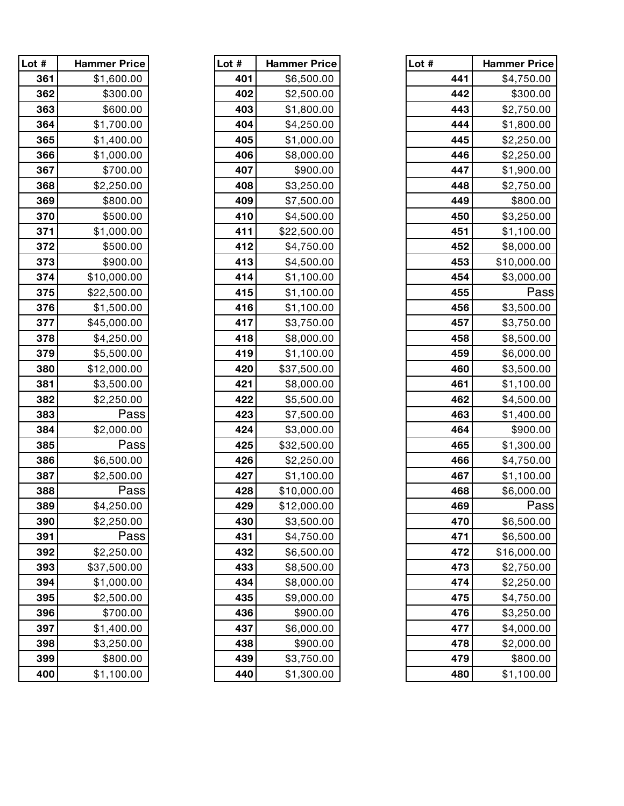| Lot # | <b>Hammer Price</b> |
|-------|---------------------|
| 361   | \$1,600.00          |
| 362   | \$300.00            |
| 363   | \$600.00            |
| 364   | \$1,700.00          |
| 365   | \$1,400.00          |
| 366   | \$1,000.00          |
| 367   | \$700.00            |
| 368   | \$2,250.00          |
| 369   | \$800.00            |
| 370   | \$500.00            |
| 371   | \$1,000.00          |
| 372   | \$500.00            |
| 373   | \$900.00            |
| 374   | \$10,000.00         |
| 375   | \$22,500.00         |
| 376   | \$1,500.00          |
| 377   | \$45,000.00         |
| 378   | \$4,250.00          |
| 379   | \$5,500.00          |
| 380   | \$12,000.00         |
| 381   | \$3,500.00          |
| 382   | \$2,250.00          |
| 383   | Pass                |
| 384   | \$2,000.00          |
| 385   | Pass                |
| 386   | \$6,500.00          |
| 387   | \$2,500.00          |
| 388   | Pass                |
| 389   | \$4,250.00          |
| 390   | \$2,250.00          |
| 391   | Pass                |
| 392   | \$2,250.00          |
| 393   | \$37,500.00         |
| 394   | \$1,000.00          |
| 395   | \$2,500.00          |
| 396   | \$700.00            |
| 397   | \$1,400.00          |
| 398   | \$3,250.00          |
| 399   | \$800.00            |
| 400   | \$1.100.00          |

| Lot # | <b>Hammer Price</b> |
|-------|---------------------|
| 401   | \$6,500.00          |
| 402   | \$2,500.00          |
| 403   | \$1,800.00          |
| 404   | \$4,250.00          |
| 405   | \$1,000.00          |
| 406   | \$8,000.00          |
| 407   | \$900.00            |
| 408   | \$3,250.00          |
| 409   | \$7,500.00          |
| 410   | \$4,500.00          |
| 411   | \$22,500.00         |
| 412   | \$4,750.00          |
| 413   | \$4,500.00          |
| 414   | \$1,100.00          |
| 415   | \$1,100.00          |
| 416   | \$1,100.00          |
| 417   | \$3,750.00          |
| 418   | \$8,000.00          |
| 419   | \$1,100.00          |
| 420   | \$37,500.00         |
| 421   | \$8,000.00          |
| 422   | \$5,500.00          |
| 423   | \$7,500.00          |
| 424   | \$3,000.00          |
| 425   | \$32,500.00         |
| 426   | \$2,250.00          |
| 427   | \$1,100.00          |
| 428   | \$10,000.00         |
| 429   | \$12,000.00         |
| 430   | \$3,500.00          |
| 431   | \$4,750.00          |
| 432   | \$6,500.00          |
| 433   | \$8,500.00          |
| 434   | \$8,000.00          |
| 435   | \$9,000.00          |
| 436   | \$900.00            |
| 437   | \$6,000.00          |
| 438   | \$900.00            |
| 439   | \$3,750.00          |
| 440   | \$1.300.00          |

| Lot $#$ | <b>Hammer Price</b> | Lot # | <b>Hammer Price</b> | Lot # | <b>Hammer Price</b> |
|---------|---------------------|-------|---------------------|-------|---------------------|
| 361     | \$1,600.00          | 401   | \$6,500.00          | 441   | \$4,750.00          |
| 362     | \$300.00            | 402   | \$2,500.00          | 442   | \$300.00            |
| 363     | \$600.00            | 403   | \$1,800.00          | 443   | \$2,750.00          |
| 364     | \$1,700.00          | 404   | \$4,250.00          | 444   | \$1,800.00          |
| 365     | \$1,400.00          | 405   | \$1,000.00          | 445   | \$2,250.00          |
| 366     | \$1,000.00          | 406   | \$8,000.00          | 446   | \$2,250.00          |
| 367     | \$700.00            | 407   | \$900.00            | 447   | \$1,900.00          |
| 368     | \$2,250.00          | 408   | \$3,250.00          | 448   | \$2,750.00          |
| 369     | \$800.00            | 409   | \$7,500.00          | 449   | \$800.00            |
| 370     | \$500.00            | 410   | \$4,500.00          | 450   | \$3,250.00          |
| 371     | \$1,000.00          | 411   | \$22,500.00         | 451   | \$1,100.00          |
| 372     | \$500.00            | 412   | \$4,750.00          | 452   | \$8,000.00          |
| 373     | \$900.00            | 413   | \$4,500.00          | 453   | \$10,000.00         |
| 374     | \$10,000.00         | 414   | \$1,100.00          | 454   | \$3,000.00          |
| 375     | \$22,500.00         | 415   | \$1,100.00          | 455   | Pass                |
| 376     | \$1,500.00          | 416   | \$1,100.00          | 456   | \$3,500.00          |
| 377     | \$45,000.00         | 417   | \$3,750.00          | 457   | \$3,750.00          |
| 378     | \$4,250.00          | 418   | \$8,000.00          | 458   | \$8,500.00          |
| 379     | \$5,500.00          | 419   | \$1,100.00          | 459   | \$6,000.00          |
| 380     | \$12,000.00         | 420   | \$37,500.00         | 460   | \$3,500.00          |
| 381     | \$3,500.00          | 421   | \$8,000.00          | 461   | \$1,100.00          |
| 382     | \$2,250.00          | 422   | \$5,500.00          | 462   | \$4,500.00          |
| 383     | Pass                | 423   | \$7,500.00          | 463   | \$1,400.00          |
| 384     | \$2,000.00          | 424   | \$3,000.00          | 464   | \$900.00            |
| 385     | Pass                | 425   | \$32,500.00         | 465   | \$1,300.00          |
| 386     | \$6,500.00          | 426   | \$2,250.00          | 466   | \$4,750.00          |
| 387     | \$2,500.00          | 427   | \$1,100.00          | 467   | \$1,100.00          |
| 388     | Pass                | 428   | \$10,000.00         | 468   | \$6,000.00          |
| 389     | \$4,250.00          | 429   | \$12,000.00         | 469   | Pass                |
| 390     | \$2,250.00          | 430   | \$3,500.00          | 470   | \$6,500.00          |
| 391     | Pass                | 431   | \$4,750.00          | 471   | \$6,500.00          |
| 392     | \$2,250.00          | 432   | \$6,500.00          | 472   | \$16,000.00         |
| 393     | \$37,500.00         | 433   | \$8,500.00          | 473   | \$2,750.00          |
| 394     | \$1,000.00          | 434   | \$8,000.00          | 474   | \$2,250.00          |
| 395     | \$2,500.00          | 435   | \$9,000.00          | 475   | \$4,750.00          |
| 396     | \$700.00            | 436   | \$900.00            | 476   | \$3,250.00          |
| 397     | \$1,400.00          | 437   | \$6,000.00          | 477   | \$4,000.00          |
| 398     | \$3,250.00          | 438   | \$900.00            | 478   | \$2,000.00          |
| 399     | \$800.00            | 439   | \$3,750.00          | 479   | \$800.00            |
| 400     | \$1,100.00          | 440   | \$1,300.00          | 480   | \$1,100.00          |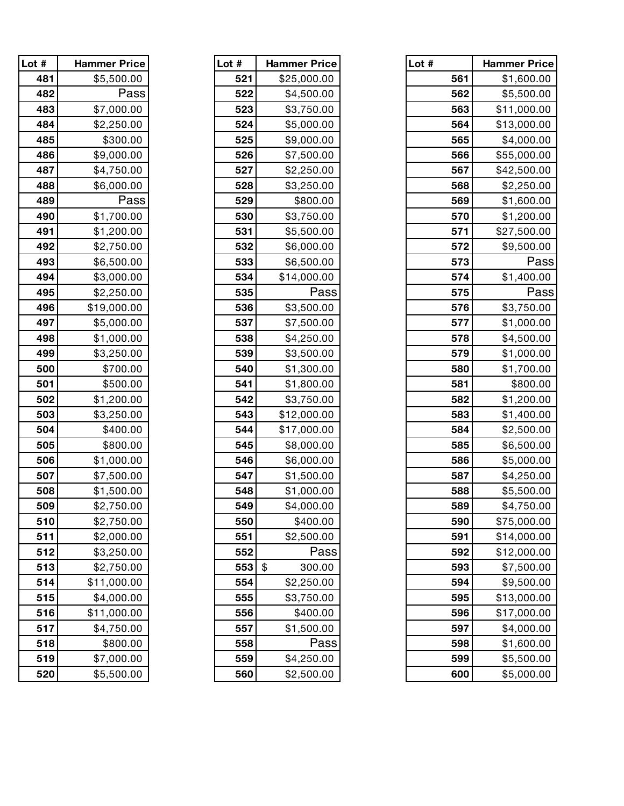| Lot # | <b>Hammer Price</b> | Lot # | <b>Hammer Price</b> |
|-------|---------------------|-------|---------------------|
| 481   | \$5,500.00          | 521   | \$25,000.00         |
| 482   | Pass                | 522   | \$4,500.00          |
| 483   | \$7,000.00          | 523   | \$3,750.00          |
| 484   | \$2,250.00          | 524   | \$5,000.00          |
| 485   | \$300.00            | 525   | \$9,000.00          |
| 486   | \$9,000.00          | 526   | \$7,500.00          |
| 487   | \$4,750.00          | 527   | \$2,250.00          |
| 488   | \$6,000.00          | 528   | \$3,250.00          |
| 489   | Pass                | 529   | \$800.00            |
| 490   | \$1,700.00          | 530   | \$3,750.00          |
| 491   | \$1,200.00          | 531   | \$5,500.00          |
| 492   | \$2,750.00          | 532   | \$6,000.00          |
| 493   | \$6,500.00          | 533   | \$6,500.00          |
| 494   | \$3,000.00          | 534   | \$14,000.00         |
| 495   | \$2,250.00          | 535   | Pass                |
| 496   | \$19,000.00         | 536   | \$3,500.00          |
| 497   | \$5,000.00          | 537   | \$7,500.00          |
| 498   | \$1,000.00          | 538   | \$4,250.00          |
| 499   | \$3,250.00          | 539   | \$3,500.00          |
| 500   | \$700.00            | 540   | \$1,300.00          |
| 501   | \$500.00            | 541   | \$1,800.00          |
| 502   | \$1,200.00          | 542   | \$3,750.00          |
| 503   | \$3,250.00          | 543   | \$12,000.00         |
| 504   | \$400.00            | 544   | \$17,000.00         |
| 505   | \$800.00            | 545   | \$8,000.00          |
| 506   | \$1,000.00          | 546   | \$6,000.00          |
| 507   | \$7,500.00          | 547   | \$1,500.00          |
| 508   | \$1,500.00          | 548   | \$1,000.00          |
| 509   | \$2,750.00          | 549   | \$4,000.00          |
| 510   | \$2,750.00          | 550   | \$400.00            |
| 511   | \$2,000.00          | 551   | \$2,500.00          |
| 512   | \$3,250.00          | 552   | Pass                |
| 513   | \$2,750.00          | 553   | \$<br>300.00        |
| 514   | \$11,000.00         | 554   | \$2,250.00          |
| 515   | \$4,000.00          | 555   | \$3,750.00          |
| 516   | \$11,000.00         | 556   | \$400.00            |
| 517   | \$4,750.00          | 557   | \$1,500.00          |
| 518   | \$800.00            | 558   | Pass                |
| 519   | \$7,000.00          | 559   | \$4,250.00          |
| 520   | \$5,500.00          | 560   | \$2,500.00          |

| Lot # | <b>Hammer Price</b> |
|-------|---------------------|
| 521   | \$25,000.00         |
| 522   | \$4,500.00          |
| 523   | \$3,750.00          |
| 524   | \$5,000.00          |
| 525   | \$9,000.00          |
| 526   | \$7,500.00          |
| 527   | \$2,250.00          |
| 528   | \$3,250.00          |
| 529   | \$800.00            |
| 530   | \$3,750.00          |
| 531   | \$5,500.00          |
| 532   | \$6,000.00          |
| 533   | \$6,500.00          |
| 534   | \$14,000.00         |
| 535   | Pass                |
| 536   | \$3,500.00          |
| 537   | \$7,500.00          |
| 538   | \$4,250.00          |
| 539   | \$3,500.00          |
| 540   | \$1,300.00          |
| 541   | \$1,800.00          |
| 542   | \$3,750.00          |
| 543   | \$12,000.00         |
| 544   | \$17,000.00         |
| 545   | \$8,000.00          |
| 546   | \$6,000.00          |
| 547   | \$1,500.00          |
| 548   | \$1,000.00          |
| 549   | \$4,000.00          |
| 550   | \$400.00            |
| 551   | \$2,500.00          |
| 552   | Pass                |
| 553   | \$<br>300.00        |
| 554   | \$2,250.00          |
| 555   | \$3,750.00          |
| 556   | \$400.00            |
| 557   | \$1,500.00          |
| 558   | Pass                |
| 559   | \$4,250.00          |
| 560   | <b>\$2.500.00</b>   |

| Lot $#$ | <b>Hammer Price</b> | Lot # | <b>Hammer Price</b>                  | Lot # | <b>Hammer Price</b> |
|---------|---------------------|-------|--------------------------------------|-------|---------------------|
| 481     | \$5,500.00          | 521   | \$25,000.00                          | 561   | \$1,600.00          |
| 482     | Pass                | 522   | \$4,500.00                           | 562   | \$5,500.00          |
| 483     | \$7,000.00          | 523   | \$3,750.00                           | 563   | \$11,000.00         |
| 484     | \$2,250.00          | 524   | \$5,000.00                           | 564   | \$13,000.00         |
| 485     | \$300.00            | 525   | \$9,000.00                           | 565   | \$4,000.00          |
| 486     | \$9,000.00          | 526   | \$7,500.00                           | 566   | \$55,000.00         |
| 487     | \$4,750.00          | 527   | \$2,250.00                           | 567   | \$42,500.00         |
| 488     | \$6,000.00          | 528   | \$3,250.00                           | 568   | \$2,250.00          |
| 489     | Pass                | 529   | \$800.00                             | 569   | \$1,600.00          |
| 490     | \$1,700.00          | 530   | \$3,750.00                           | 570   | \$1,200.00          |
| 491     | \$1,200.00          | 531   | \$5,500.00                           | 571   | \$27,500.00         |
| 492     | \$2,750.00          | 532   | \$6,000.00                           | 572   | \$9,500.00          |
| 493     | \$6,500.00          | 533   | \$6,500.00                           | 573   | Pass                |
| 494     | \$3,000.00          | 534   | \$14,000.00                          | 574   | \$1,400.00          |
| 495     | \$2,250.00          | 535   | Pass                                 | 575   | Pass                |
| 496     | \$19,000.00         | 536   | \$3,500.00                           | 576   | \$3,750.00          |
| 497     | \$5,000.00          | 537   | \$7,500.00                           | 577   | \$1,000.00          |
| 498     | \$1,000.00          | 538   | \$4,250.00                           | 578   | \$4,500.00          |
| 499     | \$3,250.00          | 539   | \$3,500.00                           | 579   | \$1,000.00          |
| 500     | \$700.00            | 540   | \$1,300.00                           | 580   | \$1,700.00          |
| 501     | \$500.00            | 541   | \$1,800.00                           | 581   | \$800.00            |
| 502     | \$1,200.00          | 542   | \$3,750.00                           | 582   | \$1,200.00          |
| 503     | \$3,250.00          | 543   | \$12,000.00                          | 583   | \$1,400.00          |
| 504     | \$400.00            | 544   | \$17,000.00                          | 584   | \$2,500.00          |
| 505     | \$800.00            | 545   | \$8,000.00                           | 585   | \$6,500.00          |
| 506     | \$1,000.00          | 546   | \$6,000.00                           | 586   | \$5,000.00          |
| 507     | \$7,500.00          | 547   | \$1,500.00                           | 587   | \$4,250.00          |
| 508     | \$1,500.00          | 548   | \$1,000.00                           | 588   | \$5,500.00          |
| 509     | \$2,750.00          | 549   | \$4,000.00                           | 589   | \$4,750.00          |
| 510     | \$2,750.00          | 550   | \$400.00                             | 590   | \$75,000.00         |
| 511     | \$2,000.00          | 551   | \$2,500.00                           | 591   | \$14,000.00         |
| 512     | \$3,250.00          | 552   | Pass                                 | 592   | \$12,000.00         |
| 513     | \$2,750.00          | 553   | $\boldsymbol{\mathsf{\$}}$<br>300.00 | 593   | \$7,500.00          |
| 514     | \$11,000.00         | 554   | \$2,250.00                           | 594   | \$9,500.00          |
| 515     | \$4,000.00          | 555   | \$3,750.00                           | 595   | \$13,000.00         |
| 516     | \$11,000.00         | 556   | \$400.00                             | 596   | \$17,000.00         |
| 517     | \$4,750.00          | 557   | \$1,500.00                           | 597   | \$4,000.00          |
| 518     | \$800.00            | 558   | Pass                                 | 598   | \$1,600.00          |
| 519     | \$7,000.00          | 559   | \$4,250.00                           | 599   | \$5,500.00          |
| 520     | \$5,500.00          | 560   | \$2,500.00                           | 600   | \$5,000.00          |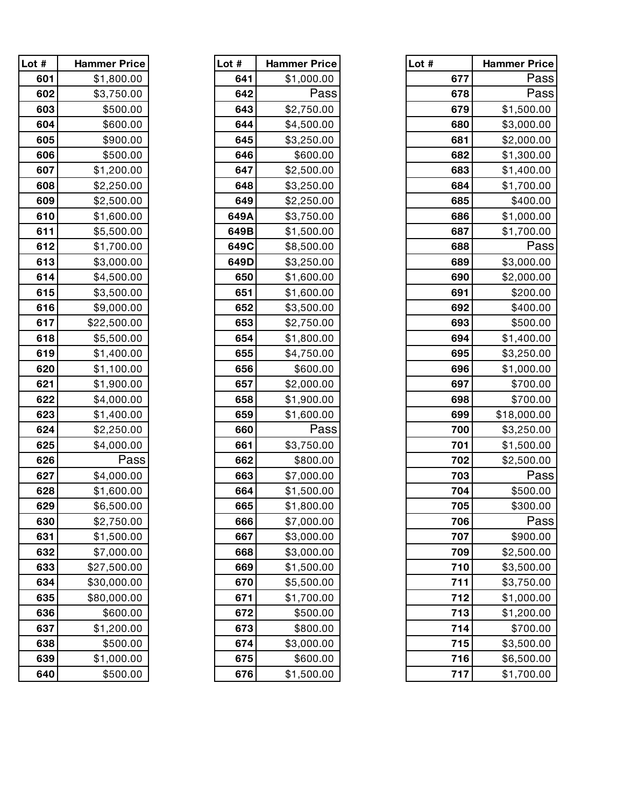| Lot # | <b>Hammer Price</b> |
|-------|---------------------|
| 601   | \$1,800.00          |
| 602   | \$3,750.00          |
| 603   | \$500.00            |
| 604   | \$600.00            |
| 605   | \$900.00            |
| 606   | \$500.00            |
| 607   | \$1,200.00          |
| 608   | \$2,250.00          |
| 609   | \$2,500.00          |
| 610   | \$1,600.00          |
| 611   | \$5,500.00          |
| 612   | \$1,700.00          |
| 613   | \$3,000.00          |
| 614   | \$4,500.00          |
| 615   | \$3,500.00          |
| 616   | \$9,000.00          |
| 617   | \$22,500.00         |
| 618   | \$5,500.00          |
| 619   | \$1,400.00          |
| 620   | \$1,100.00          |
| 621   | \$1,900.00          |
| 622   | \$4,000.00          |
| 623   | \$1,400.00          |
| 624   | \$2,250.00          |
| 625   | \$4,000.00          |
| 626   | Pass                |
| 627   | \$4,000.00          |
| 628   | \$1,600.00          |
| 629   | \$6,500.00          |
| 630   | \$2,750.00          |
| 631   | \$1,500.00          |
| 632   | \$7,000.00          |
| 633   | \$27,500.00         |
| 634   | \$30,000.00         |
| 635   | \$80,000.00         |
| 636   | \$600.00            |
| 637   | \$1,200.00          |
| 638   | \$500.00            |
| 639   | \$1,000.00          |
| 640   | \$500.00            |

| Lot # | <b>Hammer Price</b> |
|-------|---------------------|
| 641   | \$1,000.00          |
| 642   | Pass                |
| 643   | \$2,750.00          |
| 644   | \$4,500.00          |
| 645   | \$3,250.00          |
| 646   | \$600.00            |
| 647   | \$2,500.00          |
| 648   | \$3,250.00          |
| 649   | \$2,250.00          |
| 649A  | \$3,750.00          |
| 649B  | \$1,500.00          |
| 649C  | \$8,500.00          |
| 649D  | \$3,250.00          |
| 650   | \$1,600.00          |
| 651   | \$1,600.00          |
| 652   | \$3,500.00          |
| 653   | \$2,750.00          |
| 654   | \$1,800.00          |
| 655   | \$4,750.00          |
| 656   | \$600.00            |
| 657   | \$2,000.00          |
| 658   | \$1,900.00          |
| 659   | \$1,600.00          |
| 660   | Pass                |
| 661   | \$3,750.00          |
| 662   | \$800.00            |
| 663   | \$7,000.00          |
| 664   | \$1,500.00          |
| 665   | \$1,800.00          |
| 666   | \$7,000.00          |
| 667   | \$3,000.00          |
| 668   | \$3,000.00          |
| 669   | \$1,500.00          |
| 670   | \$5,500.00          |
| 671   | \$1,700.00          |
| 672   | \$500.00            |
| 673   | \$800.00            |
| 674   | \$3,000.00          |
| 675   | \$600.00            |
| 676   | <b>\$1,500.00</b>   |

| Lot $#$ | <b>Hammer Price</b> | Lot # | <b>Hammer Price</b> | Lot # | <b>Hammer Price</b> |
|---------|---------------------|-------|---------------------|-------|---------------------|
| 601     | \$1,800.00          | 641   | \$1,000.00          | 677   | Pass                |
| 602     | \$3,750.00          | 642   | Pass                | 678   | Pass                |
| 603     | \$500.00            | 643   | \$2,750.00          | 679   | \$1,500.00          |
| 604     | \$600.00            | 644   | \$4,500.00          | 680   | \$3,000.00          |
| 605     | \$900.00            | 645   | \$3,250.00          | 681   | \$2,000.00          |
| 606     | \$500.00            | 646   | \$600.00            | 682   | \$1,300.00          |
| 607     | \$1,200.00          | 647   | \$2,500.00          | 683   | \$1,400.00          |
| 608     | \$2,250.00          | 648   | \$3,250.00          | 684   | \$1,700.00          |
| 609     | \$2,500.00          | 649   | \$2,250.00          | 685   | \$400.00            |
| 610     | \$1,600.00          | 649A  | \$3,750.00          | 686   | \$1,000.00          |
| 611     | \$5,500.00          | 649B  | \$1,500.00          | 687   | \$1,700.00          |
| 612     | \$1,700.00          | 649C  | \$8,500.00          | 688   | Pass                |
| 613     | \$3,000.00          | 649D  | \$3,250.00          | 689   | \$3,000.00          |
| 614     | \$4,500.00          | 650   | \$1,600.00          | 690   | \$2,000.00          |
| 615     | \$3,500.00          | 651   | \$1,600.00          | 691   | \$200.00            |
| 616     | \$9,000.00          | 652   | \$3,500.00          | 692   | \$400.00            |
| 617     | \$22,500.00         | 653   | \$2,750.00          | 693   | \$500.00            |
| 618     | \$5,500.00          | 654   | \$1,800.00          | 694   | \$1,400.00          |
| 619     | \$1,400.00          | 655   | \$4,750.00          | 695   | \$3,250.00          |
| 620     | \$1,100.00          | 656   | \$600.00            | 696   | \$1,000.00          |
| 621     | \$1,900.00          | 657   | \$2,000.00          | 697   | \$700.00            |
| 622     | \$4,000.00          | 658   | \$1,900.00          | 698   | \$700.00            |
| 623     | \$1,400.00          | 659   | \$1,600.00          | 699   | \$18,000.00         |
| 624     | \$2,250.00          | 660   | Pass                | 700   | \$3,250.00          |
| 625     | \$4,000.00          | 661   | \$3,750.00          | 701   | \$1,500.00          |
| 626     | Pass                | 662   | \$800.00            | 702   | \$2,500.00          |
| 627     | \$4,000.00          | 663   | \$7,000.00          | 703   | Pass                |
| 628     | \$1,600.00          | 664   | \$1,500.00          | 704   | \$500.00            |
| 629     | \$6,500.00          | 665   | \$1,800.00          | 705   | \$300.00            |
| 630     | \$2,750.00          | 666   | \$7,000.00          | 706   | Pass                |
| 631     | \$1,500.00          | 667   | \$3,000.00          | 707   | \$900.00            |
| 632     | \$7,000.00          | 668   | \$3,000.00          | 709   | \$2,500.00          |
| 633     | \$27,500.00         | 669   | \$1,500.00          | 710   | \$3,500.00          |
| 634     | \$30,000.00         | 670   | \$5,500.00          | 711   | \$3,750.00          |
| 635     | \$80,000.00         | 671   | \$1,700.00          | 712   | \$1,000.00          |
| 636     | \$600.00            | 672   | \$500.00            | 713   | \$1,200.00          |
| 637     | \$1,200.00          | 673   | \$800.00            | 714   | \$700.00            |
| 638     | \$500.00            | 674   | \$3,000.00          | 715   | \$3,500.00          |
| 639     | \$1,000.00          | 675   | \$600.00            | 716   | \$6,500.00          |
| 640     | \$500.00            | 676   | \$1,500.00          | 717   | \$1,700.00          |